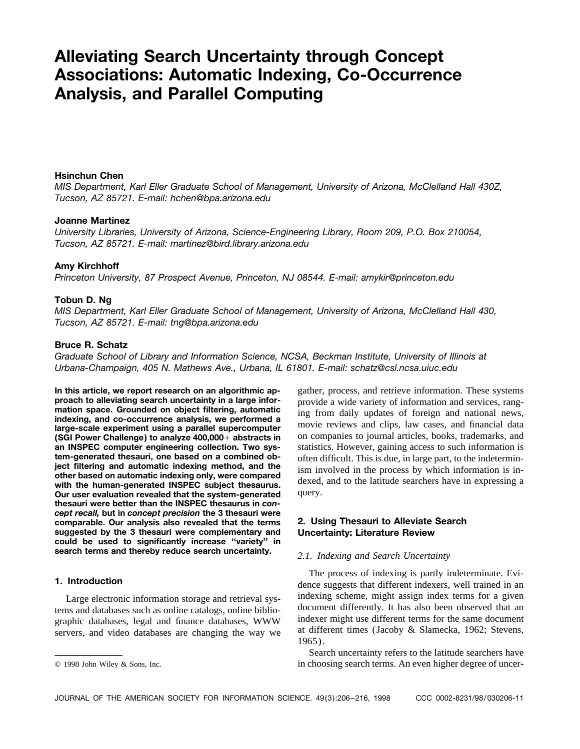# **Alleviating Search Uncertainty through Concept Associations: Automatic Indexing, Co-Occurrence Analysis, and Parallel Computing**

# **Hsinchun Chen**

*MIS Department, Karl Eller Graduate School of Management, University of Arizona, McClelland Hall 430Z, Tucson, AZ 85721. E-mail: hchen@bpa.arizona.edu*

## **Joanne Martinez**

*University Libraries, University of Arizona, Science-Engineering Library, Room 209, P.O. Box 210054, Tucson, AZ 85721. E-mail: martinez@bird.library.arizona.edu*

### **Amy Kirchhoff**

*Princeton University, 87 Prospect Avenue, Princeton, NJ 08544. E-mail: amykir@princeton.edu*

# **Tobun D. Ng**

*MIS Department, Karl Eller Graduate School of Management, University of Arizona, McClelland Hall 430, Tucson, AZ 85721. E-mail: tng@bpa.arizona.edu*

# **Bruce R. Schatz**

*Graduate School of Library and Information Science, NCSA, Beckman Institute, University of Illinois at Urbana-Champaign, 405 N. Mathews Ave., Urbana, IL 61801. E-mail: schatz@csl.ncsa.uiuc.edu*

**In this article, we report research on an algorithmic ap-** gather, process, and retrieve information. These systems **proach to alleviating search uncertainty in a large information** and vervices **rang**proach to alleviating search uncertainty in a large infor-<br>mation space. Grounded on object filtering, automatic<br>indexing, and co-occurrence analysis, we performed a<br>large-scale experiment using a parallel supercomputer<br>mo **(SGI Power Challenge) to analyze 400,000** + **abstracts in** on companies to journal articles, books, trademarks, and **an INSPEC computer engineering collection. Two sys-** statistics. However, gaining access to such informa **an INSPEC computer engineering collection. Two sys-** statistics. However, gaining access to such information is **tem-generated thesauri, one based on a combined ob-** often difficult. This is due in large part to the indet tem-generated thesauri, one based on a combined ob-<br>ject filtering and automatic indexing method, and the<br>other based on automatic indexing only, were compared<br>with the human-generated INSPEC subject thesaurus.<br>Our user ev **Our user evaluation revealed that the system-generated thesauri were better than the INSPEC thesaurus in** *concept recall,* **but in** *concept precision* **the 3 thesauri were comparable. Our analysis also revealed that the terms 2. Using Thesauri to Alleviate Search suggested by the 3 thesauri were complementary and Uncertainty: Literature Review could be used to significantly increase ''variety'' in search terms and thereby reduce search uncertainty.** *2.1. Indexing and Search Uncertainty*

The process of indexing is partly indeterminate. Evi-<br>dence suggests that different indexers, well trained in an Large electronic information storage and retrieval sys-<br>ms and databases such as online catalogs online biblio-<br>document differently. It has also been observed that an tems and databases such as online catalogs, online biblio-<br>graphic databases, legal and finance databases, WWW indexer might use different terms for the same document<br>servers, and video databases are changing the way we a

Search uncertainty refers to the latitude searchers have q 1998 John Wiley & Sons, Inc. in choosing search terms. An even higher degree of uncer-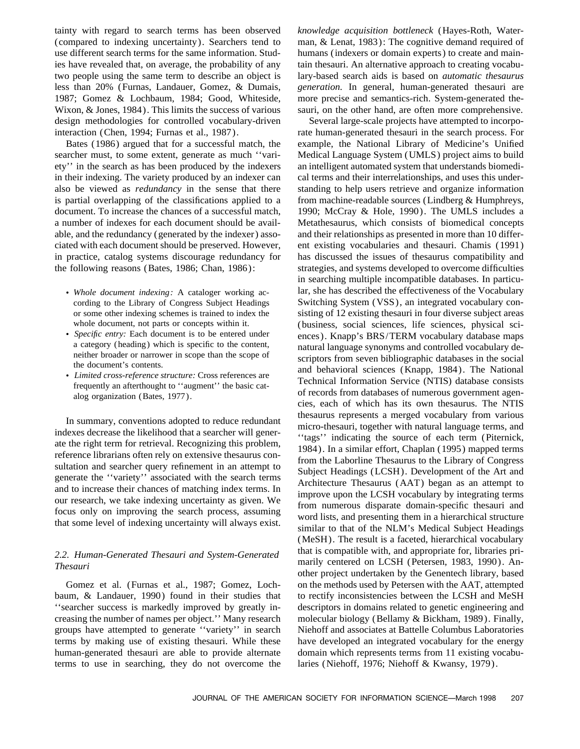(compared to indexing uncertainty). Searchers tend to man, & Lenat, 1983): The cognitive demand required of use different search terms for the same information. Stud- humans (indexers or domain experts) to create and mainies have revealed that, on average, the probability of any tain thesauri. An alternative approach to creating vocabutwo people using the same term to describe an object is lary-based search aids is based on *automatic thesaurus* less than 20% (Furnas, Landauer, Gomez, & Dumais, *generation.* In general, human-generated thesauri are 1987; Gomez & Lochbaum, 1984; Good, Whiteside, more precise and semantics-rich. System-generated the-Wixon, & Jones, 1984). This limits the success of various sauri, on the other hand, are often more comprehensive. design methodologies for controlled vocabulary-driven Several large-scale projects have attempted to incorpo-

searcher must, to some extent, generate as much "vari-<br>Medical Language System (UMLS) project aims to build ety'' in the search as has been produced by the indexers an intelligent automated system that understands biomediin their indexing. The variety produced by an indexer can cal terms and their interrelationships, and uses this underalso be viewed as *redundancy* in the sense that there standing to help users retrieve and organize information is partial overlapping of the classifications applied to a from machine-readable sources (Lindberg & Humphreys, document. To increase the chances of a successful match, 1990; McCray & Hole, 1990). The UMLS includes a a number of indexes for each document should be avail- Metathesaurus, which consists of biomedical concepts able, and the redundancy (generated by the indexer) asso- and their relationships as presented in more than 10 differciated with each document should be preserved. However, ent existing vocabularies and thesauri. Chamis (1991) in practice, catalog systems discourage redundancy for has discussed the issues of thesaurus compatibility and the following reasons (Bates, 1986; Chan, 1986): strategies, and systems developed to overcome difficulties

- 
- 
- 

baum, & Landauer, 1990) found in their studies that to rectify inconsistencies between the LCSH and MeSH ''searcher success is markedly improved by greatly in- descriptors in domains related to genetic engineering and creasing the number of names per object.'' Many research molecular biology (Bellamy & Bickham, 1989). Finally, groups have attempted to generate ''variety'' in search Niehoff and associates at Battelle Columbus Laboratories terms by making use of existing thesauri. While these have developed an integrated vocabulary for the energy human-generated thesauri are able to provide alternate domain which represents terms from 11 existing vocabuterms to use in searching, they do not overcome the laries (Niehoff, 1976; Niehoff & Kwansy, 1979).

tainty with regard to search terms has been observed *knowledge acquisition bottleneck* (Hayes-Roth, Water-

interaction (Chen, 1994; Furnas et al., 1987). rate human-generated thesauri in the search process. For Bates (1986) argued that for a successful match, the example, the National Library of Medicine's Unified in searching multiple incompatible databases. In particu-• Whole document indexing: A cataloger working ac- lar, she has described the effectiveness of the Vocabulary cording to the Library of Congress Subject Headings Switching System (VSS), an integrated vocabulary conor some other indexing schemes is trained to index the sisting of 12 existing thesauri in four diverse subject areas whole document, not parts or concepts within it. (business, social sciences, life sciences, physical sci-<br>
• *Specific entry:* Each document is to be entered under a category (heading) which is specific to the content, nat a category (heading) which is specific to the content,<br>natural language synonyms and controlled vocabulary de-<br>neither broader or narrower in scope than the scope of<br>the document's contents.<br><br>Limited cross-reference struct In summary, conventions adopted to reduce redundant<br>
indexes decrease the likelihood that a searcher will gener-<br>
ate the right term for retrieval. Recognizing this problem,<br>
reference librarians often rely on extensive th (MeSH). The result is a faceted, hierarchical vocabulary that is compatible with, and appropriate for, libraries pri- *2.2. Human-Generated Thesauri and System-Generated* marily centered on LCSH (Petersen, 1983, 1990). An- *Thesauri* other project undertaken by the Genentech library, based Gomez et al. (Furnas et al., 1987; Gomez, Loch- on the methods used by Petersen with the AAT, attempted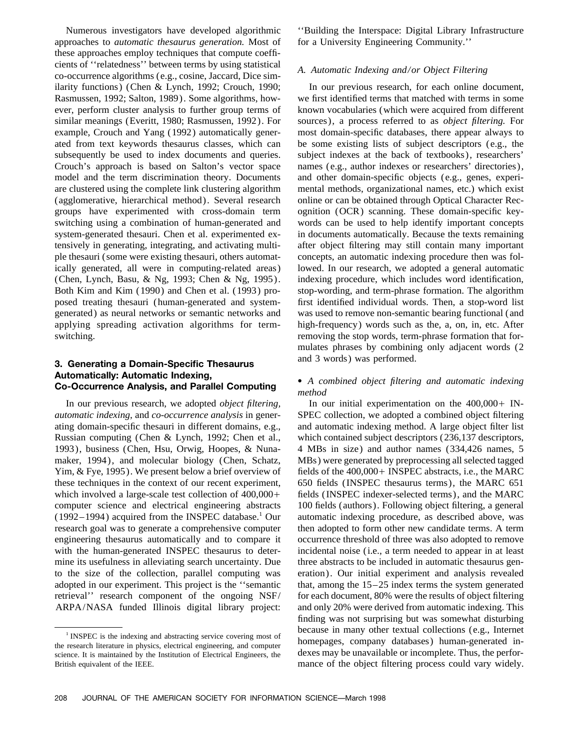approaches to *automatic thesaurus generation*. Most of for a University Engineering Community.'' these approaches employ techniques that compute coefficients of ''relatedness'' between terms by using statistical *A. Automatic Indexing and/or Object Filtering* co-occurrence algorithms (e.g., cosine, Jaccard, Dice similarity functions) (Chen & Lynch, 1992; Crouch, 1990; In our previous research, for each online document, Rasmussen, 1992; Salton, 1989). Some algorithms, how- we first identified terms that matched with terms in some ever, perform cluster analysis to further group terms of known vocabularies (which were acquired from different similar meanings (Everitt, 1980; Rasmussen, 1992). For sources), a process referred to as *object filtering.* For example, Crouch and Yang (1992) automatically gener- most domain-specific databases, there appear always to ated from text keywords thesaurus classes, which can be some existing lists of subject descriptors (e.g., the subsequently be used to index documents and queries. subject indexes at the back of textbooks), researchers' Crouch's approach is based on Salton's vector space names (e.g., author indexes or researchers' directories), model and the term discrimination theory. Documents and other domain-specific objects (e.g., genes, experiare clustered using the complete link clustering algorithm mental methods, organizational names, etc.) which exist (agglomerative, hierarchical method). Several research online or can be obtained through Optical Character Recgroups have experimented with cross-domain term ognition (OCR) scanning. These domain-specific keyswitching using a combination of human-generated and words can be used to help identify important concepts system-generated thesauri. Chen et al. experimented ex- in documents automatically. Because the texts remaining tensively in generating, integrating, and activating multi- after object filtering may still contain many important ple thesauri (some were existing thesauri, others automat- concepts, an automatic indexing procedure then was folically generated, all were in computing-related areas) lowed. In our research, we adopted a general automatic (Chen, Lynch, Basu, & Ng, 1993; Chen & Ng, 1995). indexing procedure, which includes word identification, Both Kim and Kim (1990) and Chen et al. (1993) pro- stop-wording, and term-phrase formation. The algorithm posed treating thesauri (human-generated and system- first identified individual words. Then, a stop-word list generated) as neural networks or semantic networks and was used to remove non-semantic bearing functional (and applying spreading activation algorithms for term- high-frequency) words such as the, a, on, in, etc. After switching. The stop words, term-phrase formation that for-

# and 3 words) was performed. **3. Generating a Domain-Specific Thesaurus Automatically: Automatic Indexing,** • *A combined object filtering and automatic indexing* **Co-Occurrence Analysis, and Parallel Computing** *method*

In our previous research, we adopted *object filtering*, In our initial experimentation on the 400,000+ IN*automatic indexing,* and *co-occurrence analysis* in gener- SPEC collection, we adopted a combined object filtering ating domain-specific thesauri in different domains, e.g., and automatic indexing method. A large object filter list Russian computing (Chen & Lynch, 1992; Chen et al., which contained subject descriptors (236,137 descriptors, 1993), business (Chen, Hsu, Orwig, Hoopes, & Nuna- 4 MBs in size) and author names (334,426 names, 5 maker, 1994), and molecular biology (Chen, Schatz, MBs) were generated by preprocessing all selected tagged Yim, & Fye, 1995). We present below a brief overview of fields of the 400,000+ INSPEC abstracts, i.e., the MARC these techniques in the context of our recent experiment, 650 fields (INSPEC thesaurus terms), the MARC 651 which involved a large-scale test collection of  $400,000+$  fields (INSPEC indexer-selected terms), and the MARC computer science and electrical engineering abstracts 100 fields (authors). Following object filtering, a general  $(1992-1994)$  acquired from the INSPEC database.<sup>1</sup> Our automatic indexing procedure, as described above, was research goal was to generate a comprehensive computer then adopted to form other new candidate terms. A term engineering thesaurus automatically and to compare it occurrence threshold of three was also adopted to remove with the human-generated INSPEC thesaurus to deter-<br>incidental noise (i.e., a term needed to appear in at least mine its usefulness in alleviating search uncertainty. Due three abstracts to be included in automatic thesaurus gento the size of the collection, parallel computing was eration). Our initial experiment and analysis revealed adopted in our experiment. This project is the ''semantic that, among the 15–25 index terms the system generated retrieval'' research component of the ongoing NSF/ for each document, 80% were the results of object filtering

Numerous investigators have developed algorithmic ''Building the Interspace: Digital Library Infrastructure

mulates phrases by combining only adjacent words (2

ARPA/NASA funded Illinois digital library project: and only 20% were derived from automatic indexing. This finding was not surprising but was somewhat disturbing <sup>1</sup> INSPEC is the indexing and abstracting service covering most of<br>the research literature in physics, electrical engineering, and computer<br>science. It is maintained by the Institution of Electrical Engineers, the<br>science British equivalent of the IEEE. mance of the object filtering process could vary widely.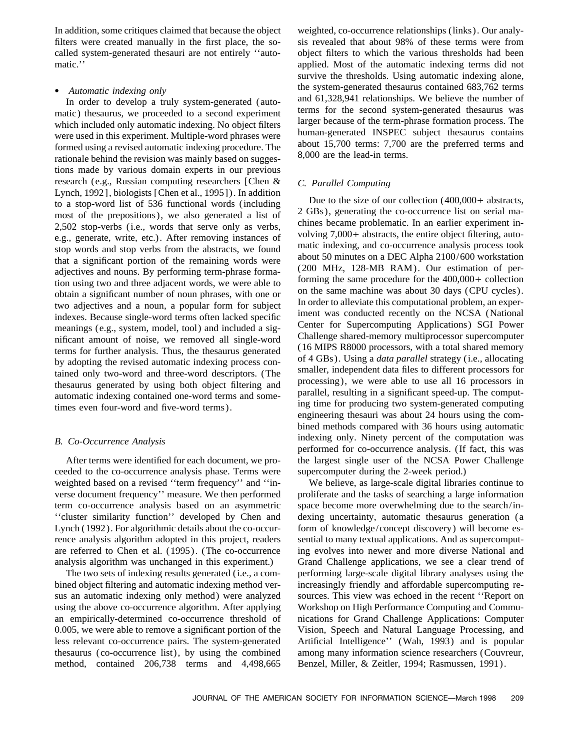In addition, some critiques claimed that because the object weighted, co-occurrence relationships (links). Our analyfilters were created manually in the first place, the so- sis revealed that about 98% of these terms were from called system-generated thesauri are not entirely ''auto- object filters to which the various thresholds had been

matic) thesaurus, we proceeded to a second experiment terms for the second system-generated thesaurus was<br>which included only automatic indexing. No object filters larger because of the term-phrase formation process. The which included only automatic indexing. No object filters<br>were used in this experiment. Multiple-word phrases were<br>formed using a revised automatic indexing procedure. The<br>rationale behind the revision was mainly based on tions made by various domain experts in our previous research (e.g., Russian computing researchers [Chen & *C. Parallel Computing* Lynch, 1992], biologists [Chen et al., 1995]). In addition to a stop-word list of 536 functional words (including bue to the size of our collection  $(400,000)$  abstracts, to a stop-word list of  $(2 \text{ GBs})$ , generating the co-occurrence list on serial mamost of the prepositions), we also generated a list of  $\frac{2 \text{ GBS}}{2 \text{ GBS}}$ , generating the co-occurrence list on serial ma-<br>2.502 stop-verbs (i.e., words that serve only as verbs chines became problematic. In an earlier 2,502 stop-verbs (i.e., words that serve only as verbs,<br>
e.g., generate, write, etc.). After removing instances of<br>
stop words and stop verbs from the abstracts, we found<br>
that a significant portion of the remaining words indexes. Because single-word terms often lacked specific<br>meanings (e.g., system, model, tool) and included a sig-<br>nificant amount of noise, we removed all single word.<br>Challenge shared-memory multiprocessor supercomputer

ceeded to the co-occurrence analysis phase. Terms were supercomputer during the 2-week period.) weighted based on a revised "term frequency" and "in-<br>We believe, as large-scale digital libraries continue to verse document frequency'' measure. We then performed proliferate and the tasks of searching a large information term co-occurrence analysis based on an asymmetric space become more overwhelming due to the search/in- ''cluster similarity function'' developed by Chen and dexing uncertainty, automatic thesaurus generation (a Lynch (1992). For algorithmic details about the co-occur- form of knowledge/concept discovery) will become esrence analysis algorithm adopted in this project, readers sential to many textual applications. And as supercomputare referred to Chen et al. (1995). (The co-occurrence ing evolves into newer and more diverse National and

bined object filtering and automatic indexing method ver- increasingly friendly and affordable supercomputing resus an automatic indexing only method) were analyzed sources. This view was echoed in the recent ''Report on using the above co-occurrence algorithm. After applying Workshop on High Performance Computing and Commuan empirically-determined co-occurrence threshold of nications for Grand Challenge Applications: Computer 0.005, we were able to remove a significant portion of the Vision, Speech and Natural Language Processing, and less relevant co-occurrence pairs. The system-generated Artificial Intelligence'' (Wah, 1993) and is popular thesaurus (co-occurrence list), by using the combined among many information science researchers (Couvreur, method, contained 206,738 terms and 4,498,665 Benzel, Miller, & Zeitler, 1994; Rasmussen, 1991).

matic." applied. Most of the automatic indexing terms did not survive the thresholds. Using automatic indexing alone, *Automatic indexing only*<br>
In order to develop a truly system-generated (auto-<br> *Automatic indexing only* system-generated (auto-<br> *Automatic indexing only* system-generated and 61,328,941 relationships. We believe the num

inficant amount of noise, we removed all single-word<br>terms for further analysis. Thus, the thesaurus generated<br>by adopting the revised automatic indexing process con-<br>tained only two-word and three-word descriptors. (The<br>t bined methods compared with 36 hours using automatic *B. Co-Occurrence Analysis* indexing only. Ninety percent of the computation was performed for co-occurrence analysis. (If fact, this was After terms were identified for each document, we pro- the largest single user of the NCSA Power Challenge

analysis algorithm was unchanged in this experiment.) Grand Challenge applications, we see a clear trend of The two sets of indexing results generated (i.e., a com- performing large-scale digital library analyses using the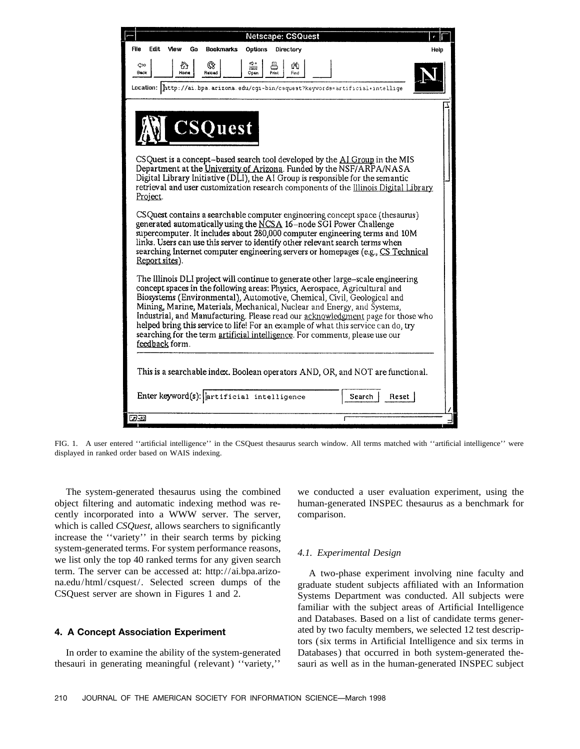| <b>Netscape: CSQuest</b>                                                                                                                                                                                                                                                                                                                                                                                                                                                                                                                                                                          |      |  |  |
|---------------------------------------------------------------------------------------------------------------------------------------------------------------------------------------------------------------------------------------------------------------------------------------------------------------------------------------------------------------------------------------------------------------------------------------------------------------------------------------------------------------------------------------------------------------------------------------------------|------|--|--|
| File<br>Edit<br>View<br>Go<br><b>Bookmarks</b><br>Options<br>Directory                                                                                                                                                                                                                                                                                                                                                                                                                                                                                                                            | Help |  |  |
| $\frac{1}{2}$<br>⇮<br>Q<br>르<br>¢о<br>άħ<br>Back<br>Reioad<br>Home<br>Open<br>Find<br>Location: http://ai.bpa.arizona.edu/cgi-bin/csquest?keywords=artificial+intellige                                                                                                                                                                                                                                                                                                                                                                                                                           |      |  |  |
| <b>CSQuest</b><br>CSQuest is a concept-based search tool developed by the AI Group in the MIS<br>Department at the University of Arizona. Funded by the NSF/ARPA/NASA<br>Digital Library Initiative (DLI), the AI Group is responsible for the semantic<br>retrieval and user customization research components of the Illinois Digital Library<br>Project.                                                                                                                                                                                                                                       |      |  |  |
| CSQuest contains a searchable computer engineering concept space (thesaurus)<br>generated automatically using the NCSA 16-node SGI Power Challenge<br>supercomputer. It includes about 280,000 computer engineering terms and 10M<br>links. Users can use this server to identify other relevant search terms when<br>searching Internet computer engineering servers or homepages (e.g., CS Technical<br>Report sites).                                                                                                                                                                          |      |  |  |
| The Illinois DLI project will continue to generate other large-scale engineering<br>concept spaces in the following areas: Physics, Aerospace, Agricultural and<br>Biosystems (Environmental), Automotive, Chemical, Civil, Geological and<br>Mining, Marine, Materials, Mechanical, Nuclear and Energy, and Systems,<br>Industrial, and Manufacturing. Please read our acknowledgment page for those who<br>helped bring this service to life! For an example of what this service can do, try<br>searching for the term artificial intelligence. For comments, please use our<br>feedback form. |      |  |  |
| This is a searchable index. Boolean operators AND, OR, and NOT are functional.                                                                                                                                                                                                                                                                                                                                                                                                                                                                                                                    |      |  |  |
| Enter keyword(s): lertificial intelligence<br>Reset<br>Search                                                                                                                                                                                                                                                                                                                                                                                                                                                                                                                                     |      |  |  |
| 5750                                                                                                                                                                                                                                                                                                                                                                                                                                                                                                                                                                                              |      |  |  |

FIG. 1. A user entered ''artificial intelligence'' in the CSQuest thesaurus search window. All terms matched with ''artificial intelligence'' were displayed in ranked order based on WAIS indexing.

object filtering and automatic indexing method was re- human-generated INSPEC thesaurus as a benchmark for cently incorporated into a WWW server. The server, comparison. which is called *CSQuest,* allows searchers to significantly increase the ''variety'' in their search terms by picking system-generated terms. For system performance reasons, *4.1. Experimental Design* we list only the top 40 ranked terms for any given search term. The server can be accessed at: http://ai.bpa.arizo-<br>A two-phase experiment involving nine faculty and

The system-generated thesaurus using the combined we conducted a user evaluation experiment, using the

na.edu/html/csquest/. Selected screen dumps of the graduate student subjects affiliated with an Information CSQuest server are shown in Figures 1 and 2. Systems Department was conducted. All subjects were familiar with the subject areas of Artificial Intelligence and Databases. Based on a list of candidate terms gener-**4. A Concept Association Experiment** ated by two faculty members, we selected 12 test descriptors (six terms in Artificial Intelligence and six terms in In order to examine the ability of the system-generated Databases) that occurred in both system-generated thethesauri in generating meaningful (relevant) ''variety,'' sauri as well as in the human-generated INSPEC subject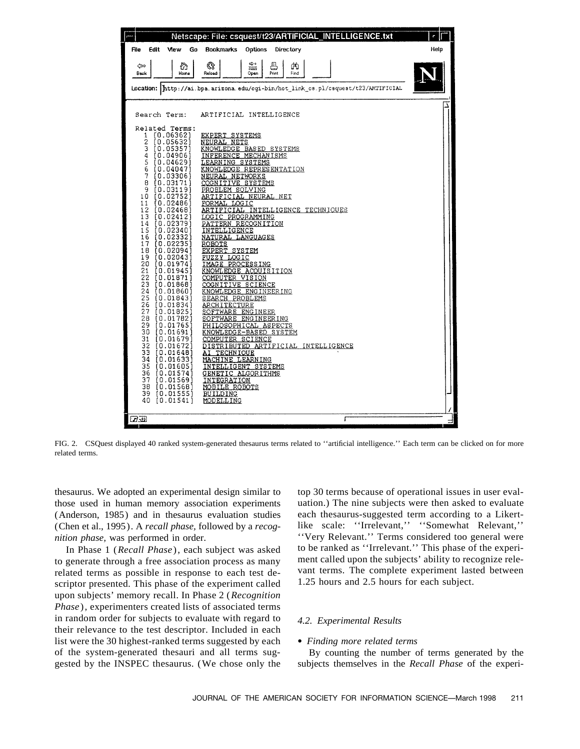

FIG. 2. CSQuest displayed 40 ranked system-generated thesaurus terms related to ''artificial intelligence.'' Each term can be clicked on for more related terms.

thesaurus. We adopted an experimental design similar to top 30 terms because of operational issues in user evalthose used in human memory association experiments uation.) The nine subjects were then asked to evaluate (Anderson, 1985) and in thesaurus evaluation studies each thesaurus-suggested term according to a Likert- (Chen et al., 1995). A *recall phase,* followed by a *recog-* like scale: ''Irrelevant,'' ''Somewhat Relevant,''

to generate through a free association process as many ment called upon the subjects' ability to recognize rele-<br>related terms as possible in response to each test de-<br>vant terms. The complete experiment lasted between related terms as possible in response to each test de-<br>scriptor presented. This phase of the experiment called  $1.25$  hours and 2.5 hours for each subject. scriptor presented. This phase of the experiment called upon subjects' memory recall. In Phase 2 (*Recognition Phase* ), experimenters created lists of associated terms in random order for subjects to evaluate with regard to *4.2. Experimental Results* their relevance to the test descriptor. Included in each list were the 30 highest-ranked terms suggested by each • *Finding more related terms* of the system-generated thesauri and all terms sug- By counting the number of terms generated by the gested by the INSPEC thesaurus. (We chose only the subjects themselves in the *Recall Phase* of the experi-

*nition phase*, was performed in order.<br>
In Phase 1 (*Recall Phase*), each subject was asked to be ranked as "Irrelevant." This phase of the experi-In Phase 1 (*Recall Phase*), each subject was asked to be ranked as "Irrelevant." This phase of the experi-<br>
In Phase 1 (*Recall Phase*), each subject was asked to be ranked as "Irrelevant." This phase of the experi-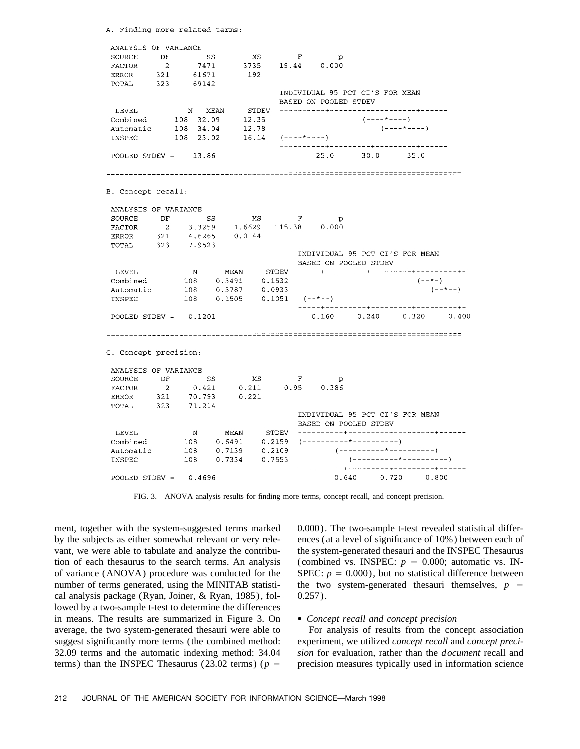A. Finding more related terms:

ANALYSIS OF VARIANCE  $SS$ DF  $MS$  $\mathbf{F}$ SOURCE  $\mathbf{p}$ 7471 19.44  $0.000$ **FACTOR**  $\overline{2}$ 3735 ERROR 321 61671 192 TOTAL 323 69142 INDIVIDUAL 95 PCT CI'S FOR MEAN BASED ON POOLED STDEV STDEV N MEAN LEVEL Combined 108 32.09 12.35  $(- - - - - - - -)$  $108$  34.04  $(----+---)$ 12.78 Automatic INSPEC 108 23.02 16.14  $(- - - - + - - - - -)$ POOLED STORY  $=$  $25.0$  $30.0$ 13.86  $35.0$ B. Concept recall: ANALYSIS OF VARIANCE SOURCE DF SS  $MS$  $\mathbf{F}$  $\mathbf{p}$ **FACTOR**  $\overline{2}$ 3.3259 1.6629 115.38  $0.000$ **ERROR** 321 4.6265 0.0144  $_{\tt TOTAL}$ 323 7.9523 INDIVIDUAL 95 PCT CI'S FOR MEAN BASED ON POOLED STDEV LEVEL  $\mathbf N$ MEAN STDEV -----+---------+----------+--------+- $(- - * - )$  $108$  $0.3491$ 0.1532 Combined Automatic 108 0.3787 0.0933  $(- - * - -)$  $(- - * - - )$ INSPEC 108  $0.1505$  $0.1051$ . . . . . . . . . . . . . . . . . . POOLED STDEV =  $0.1201$  $0.160$  $0.240$  0.320  $0.400$ C. Concept precision: ANALYSIS OF VARIANCE SOURCE  $DF$ SS  $MS$  $\mathbf{F}$  $\mathbf{p}$  $0.211$ **FACTOR**  $\overline{2}$ 0 4 2 1  $0.95$ 0.386 321 70.793  $0.221$ ERROR 323 71.214 TOTAL INDIVIDUAL 95 PCT CI'S FOR MEAN BASED ON POOLED STDEV  $\mathbb{N}$ LEVEL MEAN 108  $0.6491$ Combined 108 0.7139 Automatic  $0.2109$ INSPEC 108 0.7334 0.7553 POOLED STDEV =  $0.640$   $0.720$ 0.4696 0.800

FIG. 3. ANOVA analysis results for finding more terms, concept recall, and concept precision.

ment, together with the system-suggested terms marked  $0.000$ . The two-sample t-test revealed statistical differby the subjects as either somewhat relevant or very rele- ences (at a level of significance of 10%) between each of vant, we were able to tabulate and analyze the contribu- the system-generated thesauri and the INSPEC Thesaurus tion of each thesaurus to the search terms. An analysis (combined vs. INSPEC:  $p = 0.000$ ; automatic vs. INof variance (ANOVA) procedure was conducted for the SPEC:  $p = 0.000$ ), but no statistical difference between number of terms generated, using the MINITAB statisti- the two system-generated thesauri themselves,  $p =$ cal analysis package (Ryan, Joiner, & Ryan, 1985), fol- 0.257). lowed by a two-sample t-test to determine the differences in means. The results are summarized in Figure 3. On • *Concept recall and concept precision* average, the two system-generated thesauri were able to For analysis of results from the concept association suggest significantly more terms (the combined method: experiment, we utilized *concept recall* and *concept preci-*32.09 terms and the automatic indexing method: 34.04 *sion* for evaluation, rather than the *document* recall and

terms) than the INSPEC Thesaurus (23.02 terms) ( $p =$  precision measures typically used in information science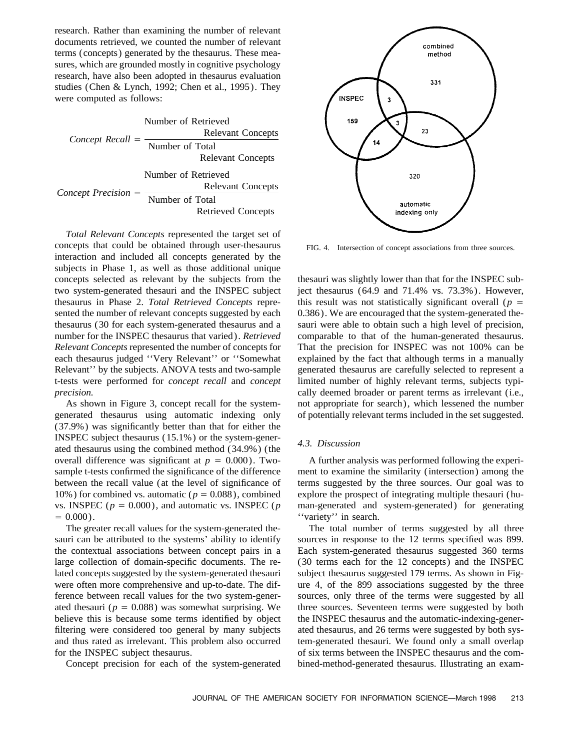research. Rather than examining the number of relevant documents retrieved, we counted the number of relevant terms (concepts) generated by the thesaurus. These measures, which are grounded mostly in cognitive psychology research, have also been adopted in thesaurus evaluation studies (Chen & Lynch, 1992; Chen et al., 1995). They were computed as follows:

*Concept Recall*  $=$ Number of Retrieved Relevant Concepts Number of Total Relevant Concepts *Concept Precision* = Number of Retrieved Relevant Concepts Number of Total Retrieved Concepts

*Total Relevant Concepts* represented the target set of concepts that could be obtained through user-thesaurus FIG. 4. Intersection of concept associations from three sources. interaction and included all concepts generated by the subjects in Phase 1, as well as those additional unique concepts selected as relevant by the subjects from the thesauri was slightly lower than that for the INSPEC subtwo system-generated thesauri and the INSPEC subject ject thesaurus (64.9 and 71.4% vs. 73.3%). However, thesaurus in Phase 2. Total Retrieved Concepts repre-<br>this result was not statistically significant overall ( $p =$ sented the number of relevant concepts suggested by each 0.386). We are encouraged that the system-generated thethesaurus (30 for each system-generated thesaurus and a sauri were able to obtain such a high level of precision, number for the INSPEC thesaurus that varied). *Retrieved* comparable to that of the human-generated thesaurus. *Relevant Concepts* represented the number of concepts for That the precision for INSPEC was not 100% can be each thesaurus judged "Very Relevant" or "Somewhat explained by the fact that although terms in a manually Relevant'' by the subjects. ANOVA tests and two-sample generated thesaurus are carefully selected to represent a t-tests were performed for *concept recall* and *concept* limited number of highly relevant terms, subjects typi*precision.* cally deemed broader or parent terms as irrelevant (i.e.,

generated thesaurus using automatic indexing only of potentially relevant terms included in the set suggested. (37.9%) was significantly better than that for either the INSPEC subject thesaurus (15.1%) or the system-gener- *4.3. Discussion* ated thesaurus using the combined method (34.9%) (the overall difference was significant at  $p = 0.000$ ). Two- A further analysis was performed following the experisample t-tests confirmed the significance of the difference ment to examine the similarity (intersection) among the between the recall value (at the level of significance of terms suggested by the three sources. Our goal was to 10%) for combined vs. automatic ( $p = 0.088$ ), combined explore the prospect of integrating multiple thesauri (huvs. INSPEC ( $p = 0.000$ ), and automatic vs. INSPEC ( $p$  man-generated and system-generated) for generating  $= 0.000$ ).  $"variety"$  in search.

sauri can be attributed to the systems' ability to identify sources in response to the 12 terms specified was 899. the contextual associations between concept pairs in a Each system-generated thesaurus suggested 360 terms large collection of domain-specific documents. The re- (30 terms each for the 12 concepts) and the INSPEC lated concepts suggested by the system-generated thesauri subject thesaurus suggested 179 terms. As shown in Figwere often more comprehensive and up-to-date. The dif- ure 4, of the 899 associations suggested by the three ference between recall values for the two system-gener- sources, only three of the terms were suggested by all ated thesauri ( $p = 0.088$ ) was somewhat surprising. We three sources. Seventeen terms were suggested by both believe this is because some terms identified by object the INSPEC thesaurus and the automatic-indexing-generfiltering were considered too general by many subjects ated thesaurus, and 26 terms were suggested by both sysand thus rated as irrelevant. This problem also occurred tem-generated thesauri. We found only a small overlap for the INSPEC subject thesaurus. of six terms between the INSPEC thesaurus and the com-



As shown in Figure 3, concept recall for the system- not appropriate for search), which lessened the number

The greater recall values for the system-generated the- The total number of terms suggested by all three Concept precision for each of the system-generated bined-method-generated thesaurus. Illustrating an exam-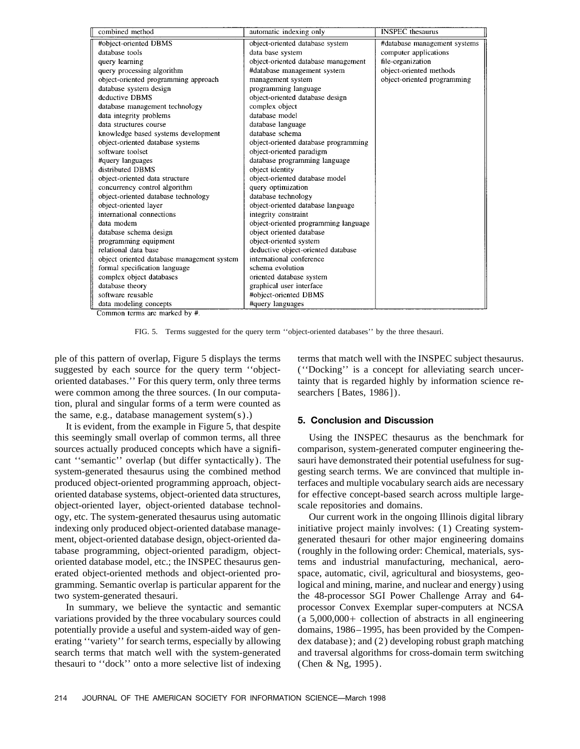| combined method                            | automatic indexing only              | <b>INSPEC</b> thesaurus      |
|--------------------------------------------|--------------------------------------|------------------------------|
| #object-oriented DBMS                      | object-oriented database system      | #database management systems |
| database tools                             | data base system                     | computer applications        |
| query learning                             | object-oriented database management  | file-organization            |
| query processing algorithm                 | #database management system          | object-oriented methods      |
| object-oriented programming approach       | management system                    | object-oriented programming  |
| database system design                     | programming language                 |                              |
| deductive DBMS                             | object-oriented database design      |                              |
| database management technology             | complex object                       |                              |
| data integrity problems                    | database model                       |                              |
| data structures course                     | database language                    |                              |
| knowledge based systems development        | database schema                      |                              |
| object-oriented database systems           | object-oriented database programming |                              |
| software toolset                           | object-oriented paradigm             |                              |
| #query languages                           | database programming language        |                              |
| distributed DBMS                           | object identity                      |                              |
| object-oriented data structure             | object-oriented database model       |                              |
| concurrency control algorithm              | query optimization                   |                              |
| object-oriented database technology        | database technology                  |                              |
| object-oriented layer                      | object-oriented database language    |                              |
| international connections                  | integrity constraint                 |                              |
| data modem                                 | object-oriented programming language |                              |
| database schema design                     | object oriented database             |                              |
| programming equipment                      | object-oriented system               |                              |
| relational data base                       | deductive object-oriented database   |                              |
| object oriented database management system | international conference             |                              |
| formal specification language              | schema evolution                     |                              |
| complex object databases                   | oriented database system             |                              |
| database theory                            | graphical user interface             |                              |
| software reusable                          | #object-oriented DBMS                |                              |
| data modeling concepts                     | #query languages                     |                              |

Common terms are marked by #.

FIG. 5. Terms suggested for the query term ''object-oriented databases'' by the three thesauri.

ple of this pattern of overlap, Figure 5 displays the terms terms that match well with the INSPEC subject thesaurus. suggested by each source for the query term "object- ("Docking" is a concept for alleviating search unceroriented databases.'' For this query term, only three terms tainty that is regarded highly by information science rewere common among the three sources. (In our computa- searchers [Bates, 1986]). tion, plural and singular forms of a term were counted as the same, e.g., database management system(s).)<br>It is evident, from the example in Figure 5, that despite<br> $\begin{array}{c} 5. \text{ Conclusion} \\ 5. \text{Conclusion} \end{array}$ 

this seemingly small overlap of common terms, all three Using the INSPEC thesaurus as the benchmark for sources actually produced concepts which have a signifi-<br>comparison, system-generated computer engineering thecant ''semantic'' overlap (but differ syntactically). The sauri have demonstrated their potential usefulness for sugsystem-generated thesaurus using the combined method gesting search terms. We are convinced that multiple inproduced object-oriented programming approach, object- terfaces and multiple vocabulary search aids are necessary oriented database systems, object-oriented data structures, for effective concept-based search across multiple largeobject-oriented layer, object-oriented database technol- scale repositories and domains. ogy, etc. The system-generated thesaurus using automatic Our current work in the ongoing Illinois digital library indexing only produced object-oriented database manage-<br>ment, object-oriented database design, object-oriented da-<br>generated thesauri for other major engineering domains tabase programming, object-oriented paradigm, object- (roughly in the following order: Chemical, materials, sysoriented database model, etc.; the INSPEC thesaurus gen- tems and industrial manufacturing, mechanical, aeroerated object-oriented methods and object-oriented pro- space, automatic, civil, agricultural and biosystems, geogramming. Semantic overlap is particular apparent for the logical and mining, marine, and nuclear and energy) using two system-generated thesauri. the 48-processor SGI Power Challenge Array and 64-

variations provided by the three vocabulary sources could  $(a 5,000,000+$  collection of abstracts in all engineering potentially provide a useful and system-aided way of gen- domains, 1986–1995, has been provided by the Compenerating "variety" for search terms, especially by allowing dex database); and (2) developing robust graph matching search terms that match well with the system-generated and traversal algorithms for cross-domain term switching thesauri to "dock" onto a more selective list of indexing (Chen & Ng, 1995).

generated thesauri for other major engineering domains In summary, we believe the syntactic and semantic processor Convex Exemplar super-computers at NCSA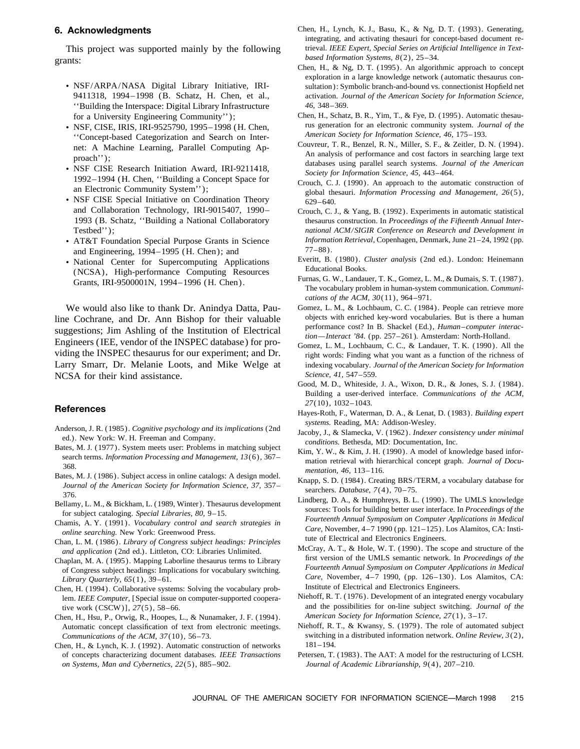*based Information Systems, 8*(2), 25–34.<br>Chen, H., & Ng, D. T. (1995). An algorithmic approach to concept

- ''Building the Interspace: Digital Library Infrastructure *46,* 348–369.
- rus generation for an electronic community system. *Journal of Secondal Categorization* and Search on Inter-<br>Concent-based Categorization and Search on Inter-<br>*American Society for Information Science, 46, 175–193.*
- 1992–1994 (H. Chen, ''Building a Concept Space for Crouch, C. J. (1990). An approach to the automatic construction of an Electronic Community System''); global thesauri. *Information Processing and Management, 26*(5),
- NSF CISE Special Initiative on Coordination Theory 629–640.<br>and Collaboration Technology, IRI-9015407, 1990– Crouch. C. J
- 
- National Center for Supercomputing Applications<br>
(NCSA), High-performance Computing Resources<br>
Grants, IRI-9500001N, 1994–1996 (H. Chen).<br>
The vocabulary problem in human-system communication. Communi-

line Cochrane, and Dr. Ann Bishop for their valuable<br>suggestions; Jim Ashling of the Institution of Electrical<br>Engineers (IEE, vendor of the INSPEC database) for pro-<br>Engineers (IEE, vendor of the INSPEC database) for providing the INSPEC thesaurus for our experiment; and Dr. right words: Finding what you want as a function of the richness of Larry Smarr, Dr. Melanie Loots, and Mike Welge at indexing vocabulary. *Journal of the American Society for Information* NCSA for their kind assistance. *Science, 41,* 547–559.

- 
- 
- 
- 
- 
- 
- 
- Chen, H. (1994). Collaborative systems: Solving the vocabulary prob-<br>
lem *IEEE Computer* [Special issue on computer-supported coopera-<br>
Niehoff, R. T. (1976). Development of an integrated energy vocabulary lem. *IEEE Computer*, [Special issue on computer-supported coopera-
- Chen, H., Hsu, P., Orwig, R., Hoopes, L., & Nunamaker, J. F. (1994).
- Chen, H., & Lynch, K. J. (1992). Automatic construction of networks 181–194. *on Systems, Man and Cybernetics, 22*(5), 885–902. *Journal of Academic Librarianship, 9*(4), 207–210.
- **6. Acknowledgments** Chen, H., Lynch, K. J., Basu, K., & Ng, D. T. (1993). Generating, integrating, and activating thesauri for concept-based document re-This project was supported mainly by the following trieval. *IEEE Expert, Special Series on Artificial Intelligence in Text-*<br>*based Information Systems, 8(2), 25*–34.
	- exploration in a large knowledge network (automatic thesaurus con-• NSF/ARPA/NASA Digital Library Initiative, IRI- sultation): Symbolic branch-and-bound vs. connectionist Hopfield net 9411318, 1994–1998 (B. Schatz, H. Chen, et al., activation. *Journal of the American Society for Information Science,*
		- for a University Engineering Community'');<br>
		Schatz, B. R., Yim, T., & Fye, D. (1995). Automatic thesau-<br>
		NSE CISE IRIS IRI-9525790 1995–1998 (H Chen<br>
		Is generation for an electronic community system. Journal of the
	- "Concept-based Categorization and Search on Inter-<br>net: A Machine Learning, Parallel Computing Ap-<br>proach");<br>NSF CISE Research Initiation Award, IRI-9211418,<br>NSF CISE Research Initiation Award, IRI-9211418,<br>NSF CISE Resear
		-
	- Crouch, C. J., & Yang, B. (1992). Experiments in automatic statistical 1993 (B. Schatz, ''Building a National Collaboratory thesaurus construction. In *Proceedings of the Fifteenth Annual Inter-*Testbed''); *national ACM/SIGIR Conference on Research and Development in* • AT&T Foundation Special Purpose Grants in Science *Information Retrieval*, Copenhagen, Denmark, June 21–24, 1992 (pp. and Engineering 1994–1995 (H Chen): and  $77-88$ ).
		- and Engineering, 1994–1995 (H. Chen); and<br>National Center for Supercomputing Applications Everitt, B. (1980). Cluster analysis (2nd ed.). London: Heinemann
			- *cations of the ACM, 30*(11), 964–971.
	- We would also like to thank Dr. Anindya Datta, Pau-<br>
	e Cochrane, and Dr. Ann Bishop for their valuable<br>
	objects with enriched key-word vocabularies. But is there a human
		-
- Good, M. D., Whiteside, J. A., Wixon, D. R., & Jones, S. J. (1984). Building a user-derived interface. *Communications of the ACM,* **27**(10), 1032–1043.<br>**References** Hayes-Roth, F., Waterman, D. A., & Lenat, D. (1983). *Building expert* 
	-
	-
- Anderson, J. R. (1985). Cognitive psychology and its implications (2nd<br>
ed.). New York: W. H. Freeman and Company.<br>
Bates, M. J. (1977). System meets user: Problems in matching subject<br>
Bates, M. J. (1977). System meets us
	-
- for subject cataloging. Special Libraries, 80, 9–15.<br>
Chamis, A. Y. (1991). *Vocabulary control and search strategies in*<br> *Fourteenth Annual Symposium on Computer Applications in Medical*<br> *Care, November, 4–7 1990 (pp. 1*
- Chan, L. M. (1986). *Library of Congress subject headings: Principles*<br>
and application (2nd ed.). Littleton, CO: Libraries Unlimited.<br>
Chaplan, M. A. (1995). Mapping Laborline thesaurus terms to Library<br>
of Congress subje *Care,* November, 4–7 1990, (pp. 126–130). Los Alamitos, CA: *Care, Care, November, 4–7* 1990, (pp. 126–130). Los Alamitos, CA: *Library Quarterly, 65*(1), 39–61.<br>
Len H (1994) Collaborative systems: Solving the vocabula
	- tive work (CSCW)],  $27(5)$ , 58–66. and the possibilities for on-line subject switching. *Journal of the*<br>hen, H., Hsu, P., Orwig, R., Hoopes, L., & Nunamaker, J.F. (1994). *American Society for Information Science*, 27(1),
	- Automatic concept classification of text from electronic meetings. Niehoff, R. T., & Kwansy, S. (1979). The role of automated subject *Communications of the ACM, 37*(10), 56–73. switching in a distributed information network. *Online Review, 3*(2),
	- of concepts characterizing document databases. *IEEE Transactions* Petersen, T. (1983). The AAT: A model for the restructuring of LCSH.